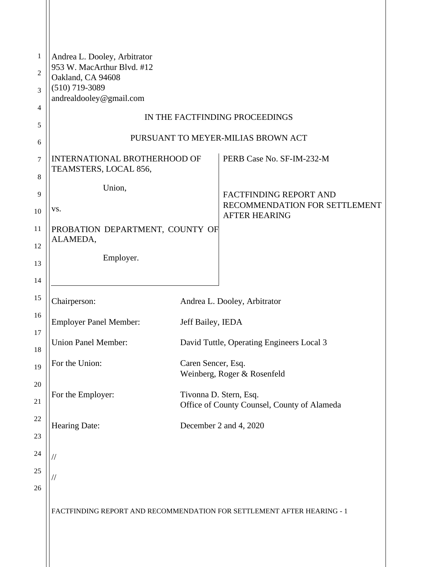| 1<br>$\overline{2}$ | Andrea L. Dooley, Arbitrator<br>953 W. MacArthur Blvd. #12<br>Oakland, CA 94608 |                    |                                                                        |
|---------------------|---------------------------------------------------------------------------------|--------------------|------------------------------------------------------------------------|
| 3                   | $(510)$ 719-3089<br>andrealdooley@gmail.com                                     |                    |                                                                        |
| $\overline{4}$      |                                                                                 |                    | IN THE FACTFINDING PROCEEDINGS                                         |
| 5<br>6              |                                                                                 |                    | PURSUANT TO MEYER-MILIAS BROWN ACT                                     |
| $\overline{7}$      | INTERNATIONAL BROTHERHOOD OF                                                    |                    | PERB Case No. SF-IM-232-M                                              |
| 8                   | TEAMSTERS, LOCAL 856,<br>Union,                                                 |                    |                                                                        |
| 9<br>10             | VS.                                                                             |                    | <b>FACTFINDING REPORT AND</b><br>RECOMMENDATION FOR SETTLEMENT         |
| 11                  | PROBATION DEPARTMENT, COUNTY OF                                                 |                    | <b>AFTER HEARING</b>                                                   |
| 12                  | ALAMEDA,<br>Employer.                                                           |                    |                                                                        |
| 13<br>14            |                                                                                 |                    |                                                                        |
| 15                  | Chairperson:                                                                    |                    | Andrea L. Dooley, Arbitrator                                           |
| 16                  | <b>Employer Panel Member:</b>                                                   | Jeff Bailey, IEDA  |                                                                        |
| 17<br>18            | <b>Union Panel Member:</b>                                                      |                    | David Tuttle, Operating Engineers Local 3                              |
| 19                  | For the Union:                                                                  | Caren Sencer, Esq. | Weinberg, Roger & Rosenfeld                                            |
| 20<br>21            | For the Employer:                                                               |                    | Tivonna D. Stern, Esq.<br>Office of County Counsel, County of Alameda  |
| 22<br>23            | <b>Hearing Date:</b>                                                            |                    | December 2 and 4, 2020                                                 |
| 24                  |                                                                                 |                    |                                                                        |
| 25                  |                                                                                 |                    |                                                                        |
| 26                  |                                                                                 |                    |                                                                        |
|                     |                                                                                 |                    | FACTFINDING REPORT AND RECOMMENDATION FOR SETTLEMENT AFTER HEARING - 1 |
|                     |                                                                                 |                    |                                                                        |

 $\parallel$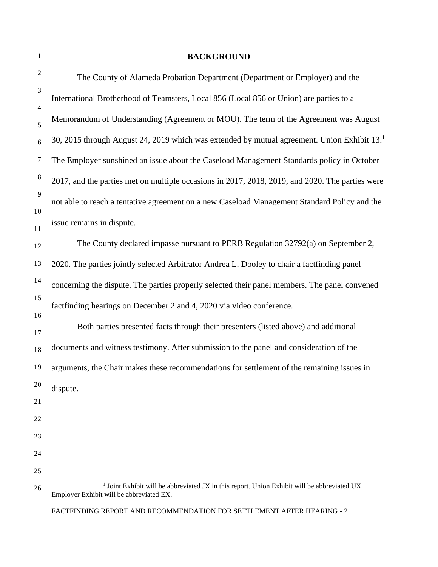### **BACKGROUND**

The County of Alameda Probation Department (Department or Employer) and the International Brotherhood of Teamsters, Local 856 (Local 856 or Union) are parties to a Memorandum of Understanding (Agreement or MOU). The term of the Agreement was August 30, 2015 through August 24, 2019 which was extended by mutual agreement. Union Exhibit 13. 1 The Employer sunshined an issue about the Caseload Management Standards policy in October 2017, and the parties met on multiple occasions in 2017, 2018, 2019, and 2020. The parties were not able to reach a tentative agreement on a new Caseload Management Standard Policy and the issue remains in dispute.

The County declared impasse pursuant to PERB Regulation 32792(a) on September 2, 2020. The parties jointly selected Arbitrator Andrea L. Dooley to chair a factfinding panel concerning the dispute. The parties properly selected their panel members. The panel convened factfinding hearings on December 2 and 4, 2020 via video conference.

Both parties presented facts through their presenters (listed above) and additional documents and witness testimony. After submission to the panel and consideration of the arguments, the Chair makes these recommendations for settlement of the remaining issues in dispute.

<sup>1</sup> Joint Exhibit will be abbreviated JX in this report. Union Exhibit will be abbreviated UX. Employer Exhibit will be abbreviated EX.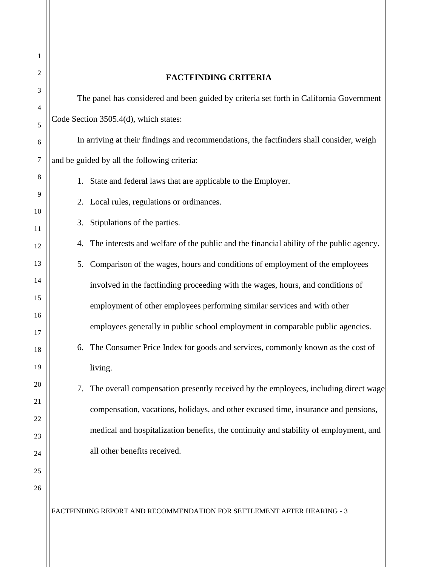| 1                |                                       |                                                                                          |  |
|------------------|---------------------------------------|------------------------------------------------------------------------------------------|--|
| $\overline{2}$   |                                       | <b>FACTFINDING CRITERIA</b>                                                              |  |
| 3                |                                       | The panel has considered and been guided by criteria set forth in California Government  |  |
| 4<br>5           | Code Section 3505.4(d), which states: |                                                                                          |  |
| 6                |                                       | In arriving at their findings and recommendations, the factfinders shall consider, weigh |  |
| $\boldsymbol{7}$ |                                       | and be guided by all the following criteria:                                             |  |
| 8                |                                       | 1. State and federal laws that are applicable to the Employer.                           |  |
| 9                | 2.                                    | Local rules, regulations or ordinances.                                                  |  |
| 10               | 3.                                    | Stipulations of the parties.                                                             |  |
| 11               | 4.                                    | The interests and welfare of the public and the financial ability of the public agency.  |  |
| 12<br>13         | 5.                                    | Comparison of the wages, hours and conditions of employment of the employees             |  |
| 14               |                                       | involved in the factfinding proceeding with the wages, hours, and conditions of          |  |
| 15               |                                       |                                                                                          |  |
| 16               |                                       | employment of other employees performing similar services and with other                 |  |
| 17               |                                       | employees generally in public school employment in comparable public agencies.           |  |
| 18               | 6.                                    | The Consumer Price Index for goods and services, commonly known as the cost of           |  |
| 19               |                                       | living.                                                                                  |  |
| 20               |                                       | 7. The overall compensation presently received by the employees, including direct wage   |  |
| 21               |                                       | compensation, vacations, holidays, and other excused time, insurance and pensions,       |  |
| 22<br>23         |                                       | medical and hospitalization benefits, the continuity and stability of employment, and    |  |
| 24               |                                       | all other benefits received.                                                             |  |
| 25               |                                       |                                                                                          |  |
| 26               |                                       |                                                                                          |  |
|                  |                                       |                                                                                          |  |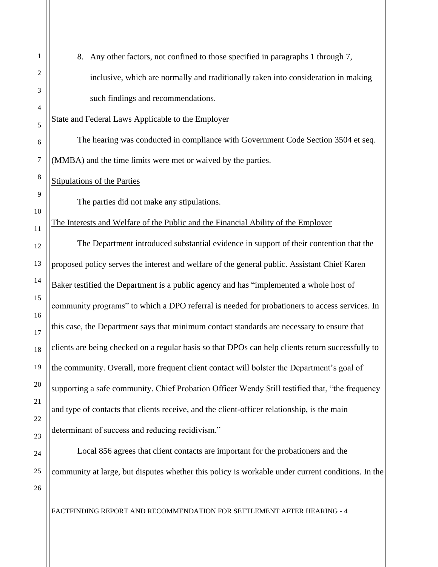| 1        | 8. Any other factors, not confined to those specified in paragraphs 1 through 7,                  |
|----------|---------------------------------------------------------------------------------------------------|
| 2        | inclusive, which are normally and traditionally taken into consideration in making                |
| 3        | such findings and recommendations.                                                                |
| 4        | State and Federal Laws Applicable to the Employer                                                 |
| 5<br>6   | The hearing was conducted in compliance with Government Code Section 3504 et seq.                 |
| 7        | (MMBA) and the time limits were met or waived by the parties.                                     |
| 8        | <b>Stipulations of the Parties</b>                                                                |
| 9        | The parties did not make any stipulations.                                                        |
| 10       |                                                                                                   |
| 11       | The Interests and Welfare of the Public and the Financial Ability of the Employer                 |
| 12       | The Department introduced substantial evidence in support of their contention that the            |
| 13       | proposed policy serves the interest and welfare of the general public. Assistant Chief Karen      |
| 14       | Baker testified the Department is a public agency and has "implemented a whole host of            |
| 15       | community programs" to which a DPO referral is needed for probationers to access services. In     |
| 16       | this case, the Department says that minimum contact standards are necessary to ensure that        |
| 17<br>18 | clients are being checked on a regular basis so that DPOs can help clients return successfully to |
| 19       | the community. Overall, more frequent client contact will bolster the Department's goal of        |
| 20       | supporting a safe community. Chief Probation Officer Wendy Still testified that, "the frequency   |
| 21       |                                                                                                   |
| 22       | and type of contacts that clients receive, and the client-officer relationship, is the main       |
| 23       | determinant of success and reducing recidivism."                                                  |
| 24       | Local 856 agrees that client contacts are important for the probationers and the                  |
| 25       | community at large, but disputes whether this policy is workable under current conditions. In the |

26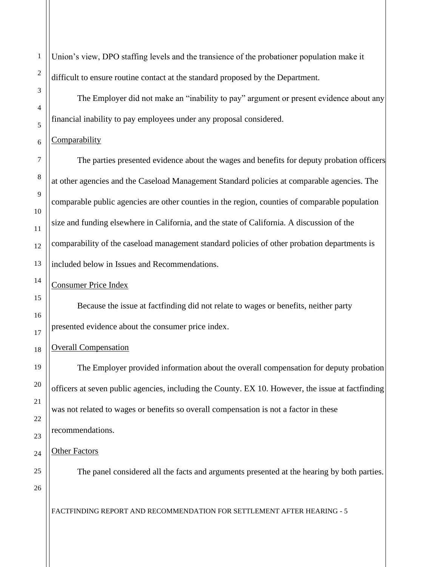Union's view, DPO staffing levels and the transience of the probationer population make it difficult to ensure routine contact at the standard proposed by the Department.

The Employer did not make an "inability to pay" argument or present evidence about any financial inability to pay employees under any proposal considered.

Comparability

The parties presented evidence about the wages and benefits for deputy probation officers at other agencies and the Caseload Management Standard policies at comparable agencies. The comparable public agencies are other counties in the region, counties of comparable population size and funding elsewhere in California, and the state of California. A discussion of the comparability of the caseload management standard policies of other probation departments is included below in Issues and Recommendations.

Consumer Price Index

Because the issue at factfinding did not relate to wages or benefits, neither party presented evidence about the consumer price index.

Overall Compensation

The Employer provided information about the overall compensation for deputy probation officers at seven public agencies, including the County. EX 10. However, the issue at factfinding was not related to wages or benefits so overall compensation is not a factor in these recommendations.

**Other Factors** 

The panel considered all the facts and arguments presented at the hearing by both parties.

FACTFINDING REPORT AND RECOMMENDATION FOR SETTLEMENT AFTER HEARING - 5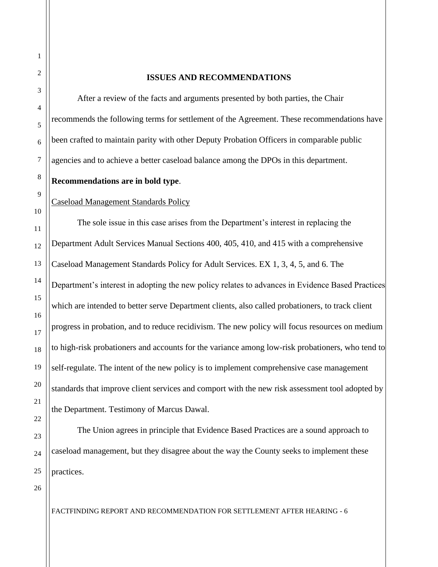### **ISSUES AND RECOMMENDATIONS**

After a review of the facts and arguments presented by both parties, the Chair recommends the following terms for settlement of the Agreement. These recommendations have been crafted to maintain parity with other Deputy Probation Officers in comparable public agencies and to achieve a better caseload balance among the DPOs in this department.

### **Recommendations are in bold type**.

Caseload Management Standards Policy

The sole issue in this case arises from the Department's interest in replacing the Department Adult Services Manual Sections 400, 405, 410, and 415 with a comprehensive Caseload Management Standards Policy for Adult Services. EX 1, 3, 4, 5, and 6. The Department's interest in adopting the new policy relates to advances in Evidence Based Practices which are intended to better serve Department clients, also called probationers, to track client progress in probation, and to reduce recidivism. The new policy will focus resources on medium to high-risk probationers and accounts for the variance among low-risk probationers, who tend to self-regulate. The intent of the new policy is to implement comprehensive case management standards that improve client services and comport with the new risk assessment tool adopted by the Department. Testimony of Marcus Dawal.

The Union agrees in principle that Evidence Based Practices are a sound approach to caseload management, but they disagree about the way the County seeks to implement these practices.

26

1

2

3

4

5

6

7

8

9

10

11

12

13

14

15

16

17

18

19

20

21

22

23

24

25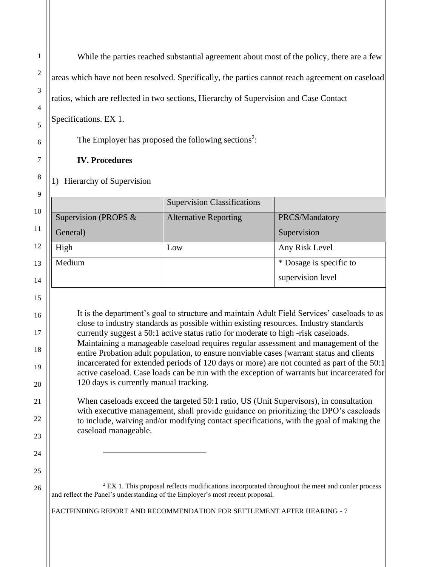While the parties reached substantial agreement about most of the policy, there are a few areas which have not been resolved. Specifically, the parties cannot reach agreement on caseload ratios, which are reflected in two sections, Hierarchy of Supervision and Case Contact Specifications. EX 1.

The Employer has proposed the following sections<sup>2</sup>:

**IV. Procedures**

1) Hierarchy of Supervision

| <b>Supervision Classifications</b> |                              |                         |
|------------------------------------|------------------------------|-------------------------|
| Supervision (PROPS $\&$            | <b>Alternative Reporting</b> | PRCS/Mandatory          |
| General)                           |                              | Supervision             |
| High                               | Low                          | Any Risk Level          |
| Medium                             |                              | * Dosage is specific to |
|                                    |                              | supervision level       |

It is the department's goal to structure and maintain Adult Field Services' caseloads to as close to industry standards as possible within existing resources. Industry standards currently suggest a 50:1 active status ratio for moderate to high -risk caseloads. Maintaining a manageable caseload requires regular assessment and management of the entire Probation adult population, to ensure nonviable cases (warrant status and clients incarcerated for extended periods of 120 days or more) are not counted as part of the 50:1 active caseload. Case loads can be run with the exception of warrants but incarcerated for 120 days is currently manual tracking.

When caseloads exceed the targeted 50:1 ratio, US (Unit Supervisors), in consultation with executive management, shall provide guidance on prioritizing the DPO's caseloads to include, waiving and/or modifying contact specifications, with the goal of making the caseload manageable.

<sup>2</sup> EX 1. This proposal reflects modifications incorporated throughout the meet and confer process and reflect the Panel's understanding of the Employer's most recent proposal.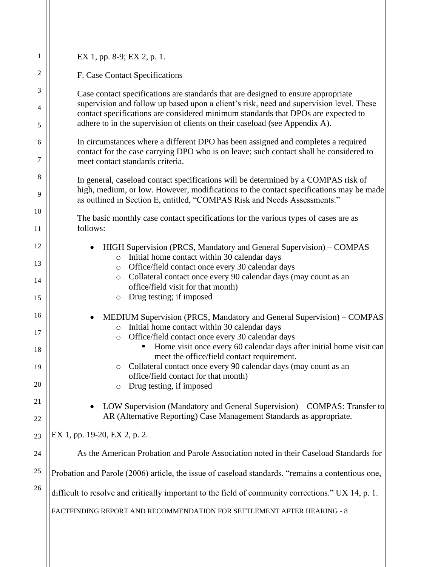| 1        | EX 1, pp. 8-9; EX 2, p. 1.                                                                                                                                                                                                                                  |  |  |
|----------|-------------------------------------------------------------------------------------------------------------------------------------------------------------------------------------------------------------------------------------------------------------|--|--|
| 2        | F. Case Contact Specifications                                                                                                                                                                                                                              |  |  |
| 3        | Case contact specifications are standards that are designed to ensure appropriate                                                                                                                                                                           |  |  |
| 4<br>5   | supervision and follow up based upon a client's risk, need and supervision level. These<br>contact specifications are considered minimum standards that DPOs are expected to<br>adhere to in the supervision of clients on their caseload (see Appendix A). |  |  |
| 6<br>7   | In circumstances where a different DPO has been assigned and completes a required<br>contact for the case carrying DPO who is on leave; such contact shall be considered to                                                                                 |  |  |
|          | meet contact standards criteria.                                                                                                                                                                                                                            |  |  |
| 8<br>9   | In general, caseload contact specifications will be determined by a COMPAS risk of<br>high, medium, or low. However, modifications to the contact specifications may be made<br>as outlined in Section E, entitled, "COMPAS Risk and Needs Assessments."    |  |  |
| 10       |                                                                                                                                                                                                                                                             |  |  |
| 11       | The basic monthly case contact specifications for the various types of cases are as<br>follows:                                                                                                                                                             |  |  |
| 12       | HIGH Supervision (PRCS, Mandatory and General Supervision) – COMPAS                                                                                                                                                                                         |  |  |
| 13       | Initial home contact within 30 calendar days<br>$\circ$<br>Office/field contact once every 30 calendar days<br>$\circ$                                                                                                                                      |  |  |
| 14       | Collateral contact once every 90 calendar days (may count as an<br>$\circ$                                                                                                                                                                                  |  |  |
| 15       | office/field visit for that month)<br>Drug testing; if imposed<br>$\circ$                                                                                                                                                                                   |  |  |
| 16       | MEDIUM Supervision (PRCS, Mandatory and General Supervision) - COMPAS<br>Initial home contact within 30 calendar days<br>$\circ$                                                                                                                            |  |  |
| 17<br>18 | Office/field contact once every 30 calendar days<br>$\circ$<br>Home visit once every 60 calendar days after initial home visit can                                                                                                                          |  |  |
| 19       | meet the office/field contact requirement.<br>Collateral contact once every 90 calendar days (may count as an<br>O                                                                                                                                          |  |  |
| 20       | office/field contact for that month)<br>Drug testing, if imposed<br>$\circ$                                                                                                                                                                                 |  |  |
| 21       | LOW Supervision (Mandatory and General Supervision) – COMPAS: Transfer to                                                                                                                                                                                   |  |  |
| 22       | AR (Alternative Reporting) Case Management Standards as appropriate.                                                                                                                                                                                        |  |  |
| 23       | EX 1, pp. 19-20, EX 2, p. 2.                                                                                                                                                                                                                                |  |  |
| 24       | As the American Probation and Parole Association noted in their Caseload Standards for                                                                                                                                                                      |  |  |
| 25       | Probation and Parole (2006) article, the issue of caseload standards, "remains a contentious one,                                                                                                                                                           |  |  |
| 26       | difficult to resolve and critically important to the field of community corrections." UX 14, p. 1.                                                                                                                                                          |  |  |
|          | FACTFINDING REPORT AND RECOMMENDATION FOR SETTLEMENT AFTER HEARING - 8                                                                                                                                                                                      |  |  |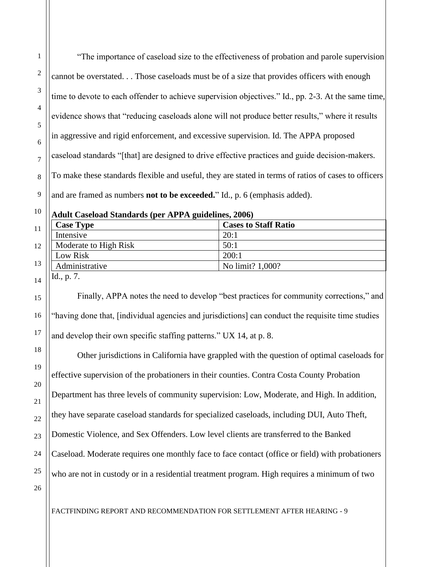| "The importance of caseload size to the effectiveness of probation and parole supervision            |
|------------------------------------------------------------------------------------------------------|
| cannot be overstated Those caseloads must be of a size that provides officers with enough            |
| time to devote to each offender to achieve supervision objectives." Id., pp. 2-3. At the same time,  |
| evidence shows that "reducing caseloads alone will not produce better results," where it results     |
| in aggressive and rigid enforcement, and excessive supervision. Id. The APPA proposed                |
| caseload standards "[that] are designed to drive effective practices and guide decision-makers.      |
| To make these standards flexible and useful, they are stated in terms of ratios of cases to officers |
| and are framed as numbers <b>not to be exceeded.</b> " Id., p. 6 (emphasis added).                   |

**Adult Caseload Standards (per APPA guidelines, 2006)**

| <b>Case Type</b>      | <b>Cases to Staff Ratio</b> |
|-----------------------|-----------------------------|
| Intensive             | 20:1                        |
| Moderate to High Risk | 50:1                        |
| Low Risk              | 200:1                       |
| Administrative        | No limit? 1,000?            |
| LT11<br>$\sim$ 7      |                             |

Id., p. 7.

1

2

3

4

5

6

7

8

9

10

11

12

13

14

15

16

17

18

19

20

21

22

23

24

25

Finally, APPA notes the need to develop "best practices for community corrections," and "having done that, [individual agencies and jurisdictions] can conduct the requisite time studies and develop their own specific staffing patterns." UX 14, at p. 8.

Other jurisdictions in California have grappled with the question of optimal caseloads for effective supervision of the probationers in their counties. Contra Costa County Probation Department has three levels of community supervision: Low, Moderate, and High. In addition, they have separate caseload standards for specialized caseloads, including DUI, Auto Theft, Domestic Violence, and Sex Offenders. Low level clients are transferred to the Banked Caseload. Moderate requires one monthly face to face contact (office or field) with probationers who are not in custody or in a residential treatment program. High requires a minimum of two

<sup>26</sup>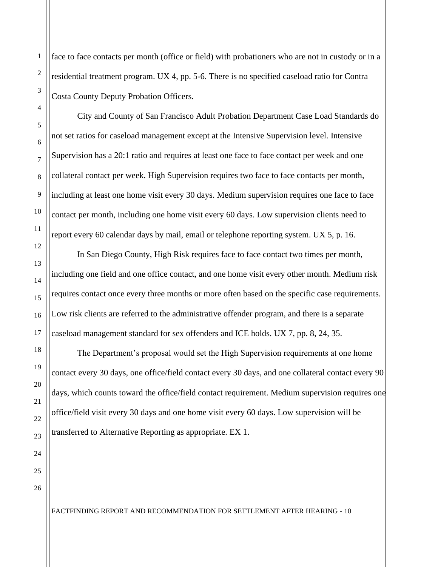face to face contacts per month (office or field) with probationers who are not in custody or in a residential treatment program. UX 4, pp. 5-6. There is no specified caseload ratio for Contra Costa County Deputy Probation Officers.

City and County of San Francisco Adult Probation Department Case Load Standards do not set ratios for caseload management except at the Intensive Supervision level. Intensive Supervision has a 20:1 ratio and requires at least one face to face contact per week and one collateral contact per week. High Supervision requires two face to face contacts per month, including at least one home visit every 30 days. Medium supervision requires one face to face contact per month, including one home visit every 60 days. Low supervision clients need to report every 60 calendar days by mail, email or telephone reporting system. UX 5, p. 16.

In San Diego County, High Risk requires face to face contact two times per month, including one field and one office contact, and one home visit every other month. Medium risk requires contact once every three months or more often based on the specific case requirements. Low risk clients are referred to the administrative offender program, and there is a separate caseload management standard for sex offenders and ICE holds. UX 7, pp. 8, 24, 35.

The Department's proposal would set the High Supervision requirements at one home contact every 30 days, one office/field contact every 30 days, and one collateral contact every 90 days, which counts toward the office/field contact requirement. Medium supervision requires one office/field visit every 30 days and one home visit every 60 days. Low supervision will be transferred to Alternative Reporting as appropriate. EX 1.

26

FACTFINDING REPORT AND RECOMMENDATION FOR SETTLEMENT AFTER HEARING - 10

1

2

3

4

5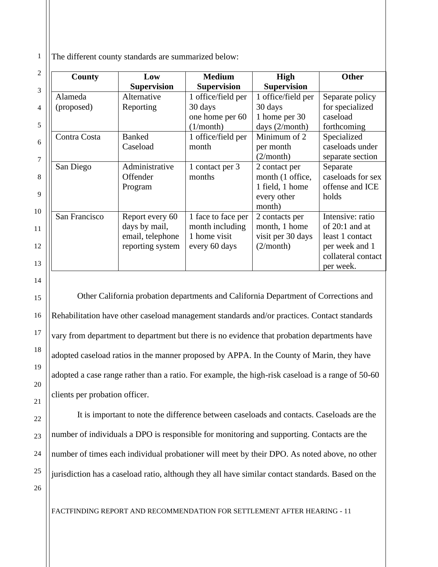1 The different county standards are summarized below:

| County        | Low<br><b>Supervision</b> | <b>Medium</b><br><b>Supervision</b> | High<br><b>Supervision</b> | <b>Other</b>       |
|---------------|---------------------------|-------------------------------------|----------------------------|--------------------|
| Alameda       | Alternative               | 1 office/field per                  | 1 office/field per         | Separate policy    |
| (proposed)    | Reporting                 | 30 days                             | 30 days                    | for specialized    |
|               |                           | one home per 60                     | 1 home per 30              | caseload           |
|               |                           | (1/month)                           | days $(2/month)$           | forthcoming        |
| Contra Costa  | <b>Banked</b>             | 1 office/field per                  | Minimum of 2               | Specialized        |
|               | Caseload                  | month                               | per month                  | caseloads under    |
|               |                           |                                     | (2/month)                  | separate section   |
| San Diego     | Administrative            | 1 contact per 3                     | 2 contact per              | Separate           |
|               | Offender                  | months                              | month (1 office,           | caseloads for sex  |
|               | Program                   |                                     | 1 field, 1 home            | offense and ICE    |
|               |                           |                                     | every other                | holds              |
|               |                           |                                     | month)                     |                    |
| San Francisco | Report every 60           | 1 face to face per                  | 2 contacts per             | Intensive: ratio   |
|               | days by mail,             | month including                     | month, 1 home              | of $20:1$ and at   |
|               | email, telephone          | 1 home visit                        | visit per 30 days          | least 1 contact    |
|               | reporting system          | every 60 days                       | (2/month)                  | per week and 1     |
|               |                           |                                     |                            | collateral contact |
|               |                           |                                     |                            | per week.          |

Other California probation departments and California Department of Corrections and Rehabilitation have other caseload management standards and/or practices. Contact standards vary from department to department but there is no evidence that probation departments have adopted caseload ratios in the manner proposed by APPA. In the County of Marin, they have adopted a case range rather than a ratio. For example, the high-risk caseload is a range of 50-60 clients per probation officer.

It is important to note the difference between caseloads and contacts. Caseloads are the number of individuals a DPO is responsible for monitoring and supporting. Contacts are the number of times each individual probationer will meet by their DPO. As noted above, no other jurisdiction has a caseload ratio, although they all have similar contact standards. Based on the

FACTFINDING REPORT AND RECOMMENDATION FOR SETTLEMENT AFTER HEARING - 11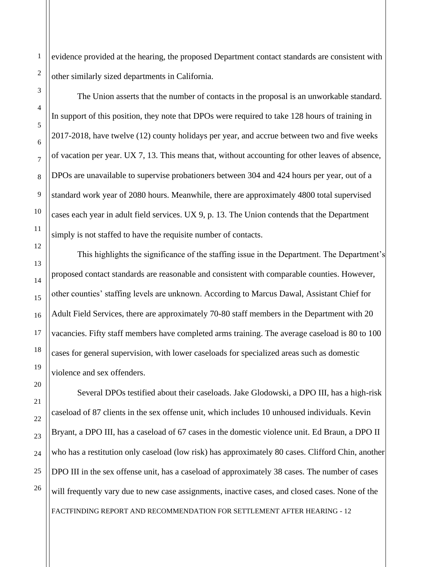evidence provided at the hearing, the proposed Department contact standards are consistent with other similarly sized departments in California.

The Union asserts that the number of contacts in the proposal is an unworkable standard. In support of this position, they note that DPOs were required to take 128 hours of training in 2017-2018, have twelve (12) county holidays per year, and accrue between two and five weeks of vacation per year. UX 7, 13. This means that, without accounting for other leaves of absence, DPOs are unavailable to supervise probationers between 304 and 424 hours per year, out of a standard work year of 2080 hours. Meanwhile, there are approximately 4800 total supervised cases each year in adult field services. UX 9, p. 13. The Union contends that the Department simply is not staffed to have the requisite number of contacts.

This highlights the significance of the staffing issue in the Department. The Department's proposed contact standards are reasonable and consistent with comparable counties. However, other counties' staffing levels are unknown. According to Marcus Dawal, Assistant Chief for Adult Field Services, there are approximately 70-80 staff members in the Department with 20 vacancies. Fifty staff members have completed arms training. The average caseload is 80 to 100 cases for general supervision, with lower caseloads for specialized areas such as domestic violence and sex offenders.

FACTFINDING REPORT AND RECOMMENDATION FOR SETTLEMENT AFTER HEARING - 12 Several DPOs testified about their caseloads. Jake Glodowski, a DPO III, has a high-risk caseload of 87 clients in the sex offense unit, which includes 10 unhoused individuals. Kevin Bryant, a DPO III, has a caseload of 67 cases in the domestic violence unit. Ed Braun, a DPO II who has a restitution only caseload (low risk) has approximately 80 cases. Clifford Chin, another DPO III in the sex offense unit, has a caseload of approximately 38 cases. The number of cases will frequently vary due to new case assignments, inactive cases, and closed cases. None of the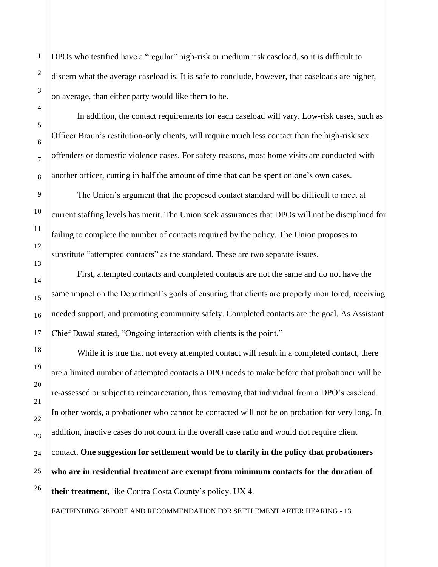DPOs who testified have a "regular" high-risk or medium risk caseload, so it is difficult to discern what the average caseload is. It is safe to conclude, however, that caseloads are higher, on average, than either party would like them to be.

In addition, the contact requirements for each caseload will vary. Low-risk cases, such as Officer Braun's restitution-only clients, will require much less contact than the high-risk sex offenders or domestic violence cases. For safety reasons, most home visits are conducted with another officer, cutting in half the amount of time that can be spent on one's own cases.

The Union's argument that the proposed contact standard will be difficult to meet at current staffing levels has merit. The Union seek assurances that DPOs will not be disciplined for failing to complete the number of contacts required by the policy. The Union proposes to substitute "attempted contacts" as the standard. These are two separate issues.

First, attempted contacts and completed contacts are not the same and do not have the same impact on the Department's goals of ensuring that clients are properly monitored, receiving needed support, and promoting community safety. Completed contacts are the goal. As Assistant Chief Dawal stated, "Ongoing interaction with clients is the point."

While it is true that not every attempted contact will result in a completed contact, there are a limited number of attempted contacts a DPO needs to make before that probationer will be re-assessed or subject to reincarceration, thus removing that individual from a DPO's caseload. In other words, a probationer who cannot be contacted will not be on probation for very long. In addition, inactive cases do not count in the overall case ratio and would not require client contact. **One suggestion for settlement would be to clarify in the policy that probationers who are in residential treatment are exempt from minimum contacts for the duration of their treatment**, like Contra Costa County's policy. UX 4.

FACTFINDING REPORT AND RECOMMENDATION FOR SETTLEMENT AFTER HEARING - 13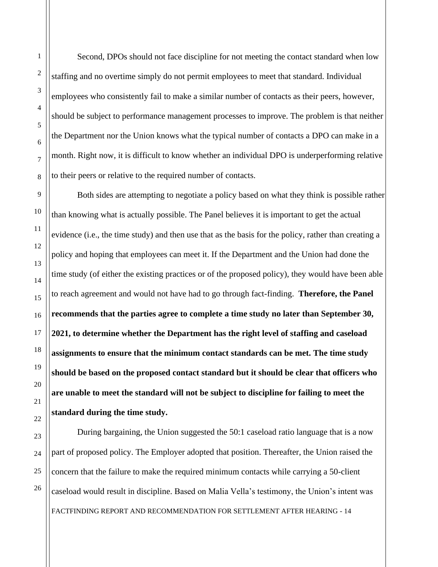Second, DPOs should not face discipline for not meeting the contact standard when low staffing and no overtime simply do not permit employees to meet that standard. Individual employees who consistently fail to make a similar number of contacts as their peers, however, should be subject to performance management processes to improve. The problem is that neither the Department nor the Union knows what the typical number of contacts a DPO can make in a month. Right now, it is difficult to know whether an individual DPO is underperforming relative to their peers or relative to the required number of contacts.

Both sides are attempting to negotiate a policy based on what they think is possible rather than knowing what is actually possible. The Panel believes it is important to get the actual evidence (i.e., the time study) and then use that as the basis for the policy, rather than creating a policy and hoping that employees can meet it. If the Department and the Union had done the time study (of either the existing practices or of the proposed policy), they would have been able to reach agreement and would not have had to go through fact-finding. **Therefore, the Panel recommends that the parties agree to complete a time study no later than September 30, 2021, to determine whether the Department has the right level of staffing and caseload assignments to ensure that the minimum contact standards can be met. The time study should be based on the proposed contact standard but it should be clear that officers who are unable to meet the standard will not be subject to discipline for failing to meet the standard during the time study.** 

FACTFINDING REPORT AND RECOMMENDATION FOR SETTLEMENT AFTER HEARING - 14 During bargaining, the Union suggested the 50:1 caseload ratio language that is a now part of proposed policy. The Employer adopted that position. Thereafter, the Union raised the concern that the failure to make the required minimum contacts while carrying a 50-client caseload would result in discipline. Based on Malia Vella's testimony, the Union's intent was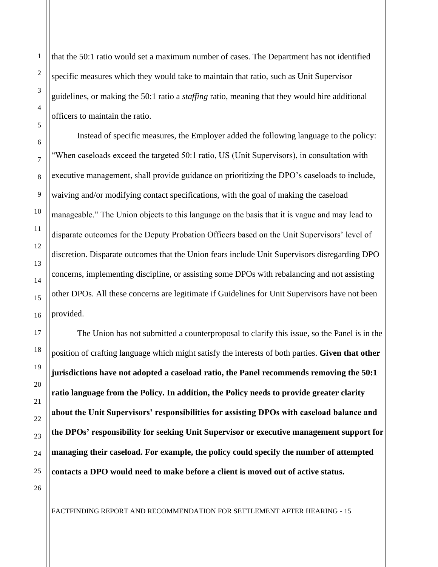that the 50:1 ratio would set a maximum number of cases. The Department has not identified specific measures which they would take to maintain that ratio, such as Unit Supervisor guidelines, or making the 50:1 ratio a *staffing* ratio, meaning that they would hire additional officers to maintain the ratio.

Instead of specific measures, the Employer added the following language to the policy: "When caseloads exceed the targeted 50:1 ratio, US (Unit Supervisors), in consultation with executive management, shall provide guidance on prioritizing the DPO's caseloads to include, waiving and/or modifying contact specifications, with the goal of making the caseload manageable." The Union objects to this language on the basis that it is vague and may lead to disparate outcomes for the Deputy Probation Officers based on the Unit Supervisors' level of discretion. Disparate outcomes that the Union fears include Unit Supervisors disregarding DPO concerns, implementing discipline, or assisting some DPOs with rebalancing and not assisting other DPOs. All these concerns are legitimate if Guidelines for Unit Supervisors have not been provided.

The Union has not submitted a counterproposal to clarify this issue, so the Panel is in the position of crafting language which might satisfy the interests of both parties. **Given that other jurisdictions have not adopted a caseload ratio, the Panel recommends removing the 50:1 ratio language from the Policy. In addition, the Policy needs to provide greater clarity about the Unit Supervisors' responsibilities for assisting DPOs with caseload balance and the DPOs' responsibility for seeking Unit Supervisor or executive management support for managing their caseload. For example, the policy could specify the number of attempted contacts a DPO would need to make before a client is moved out of active status.** 

26

FACTFINDING REPORT AND RECOMMENDATION FOR SETTLEMENT AFTER HEARING - 15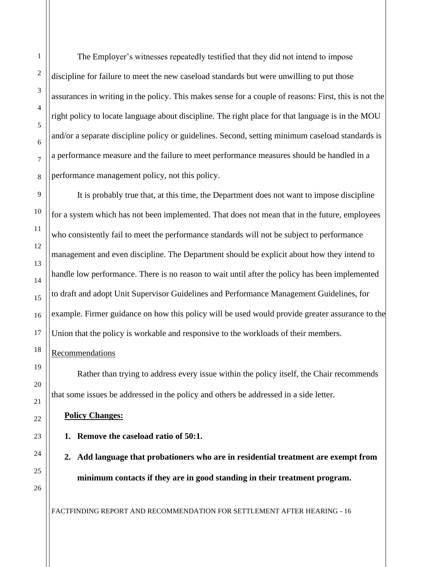1

2

3

The Employer's witnesses repeatedly testified that they did not intend to impose discipline for failure to meet the new caseload standards but were unwilling to put those assurances in writing in the policy. This makes sense for a couple of reasons: First, this is not the right policy to locate language about discipline. The right place for that language is in the MOU and/or a separate discipline policy or guidelines. Second, setting minimum caseload standards is a performance measure and the failure to meet performance measures should be handled in a performance management policy, not this policy.

It is probably true that, at this time, the Department does not want to impose discipline for a system which has not been implemented. That does not mean that in the future, employees who consistently fail to meet the performance standards will not be subject to performance management and even discipline. The Department should be explicit about how they intend to handle low performance. There is no reason to wait until after the policy has been implemented to draft and adopt Unit Supervisor Guidelines and Performance Management Guidelines, for example. Firmer guidance on how this policy will be used would provide greater assurance to the Union that the policy is workable and responsive to the workloads of their members.

# Recommendations

Rather than trying to address every issue within the policy itself, the Chair recommends that some issues be addressed in the policy and others be addressed in a side letter.

# **Policy Changes:**

**1. Remove the caseload ratio of 50:1.**

**2. Add language that probationers who are in residential treatment are exempt from minimum contacts if they are in good standing in their treatment program.**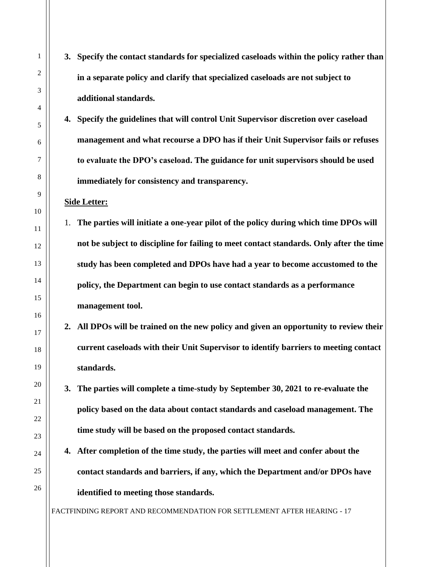**3. Specify the contact standards for specialized caseloads within the policy rather than in a separate policy and clarify that specialized caseloads are not subject to additional standards.** 

**4. Specify the guidelines that will control Unit Supervisor discretion over caseload management and what recourse a DPO has if their Unit Supervisor fails or refuses to evaluate the DPO's caseload. The guidance for unit supervisors should be used immediately for consistency and transparency.**

**Side Letter:**

- 1. **The parties will initiate a one-year pilot of the policy during which time DPOs will not be subject to discipline for failing to meet contact standards. Only after the time study has been completed and DPOs have had a year to become accustomed to the policy, the Department can begin to use contact standards as a performance management tool.**
- **2. All DPOs will be trained on the new policy and given an opportunity to review their current caseloads with their Unit Supervisor to identify barriers to meeting contact standards.**
- **3. The parties will complete a time-study by September 30, 2021 to re-evaluate the policy based on the data about contact standards and caseload management. The time study will be based on the proposed contact standards.**
- **4. After completion of the time study, the parties will meet and confer about the contact standards and barriers, if any, which the Department and/or DPOs have identified to meeting those standards.**